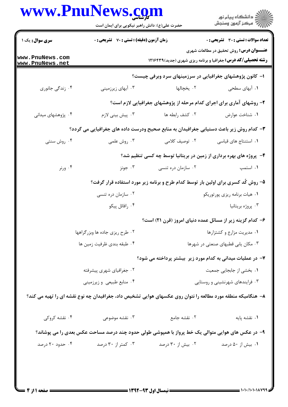## WWW PnuNaws com

|                                    | حضرت علی(ع): دانش راهبر نیکویی برای ایمان است                                                               |                                                                                   | ≦ دانشڪاه پيام نور<br>7- مرڪز آزمون وسنڊش                                                                              |  |
|------------------------------------|-------------------------------------------------------------------------------------------------------------|-----------------------------------------------------------------------------------|------------------------------------------------------------------------------------------------------------------------|--|
| <b>سری سوال :</b> یک ۱             | زمان آزمون (دقیقه) : تستی : 70 گشریحی : 0                                                                   |                                                                                   | <b>تعداد سوالات : تستی : 30 ٪ تشریحی : 0</b>                                                                           |  |
| www.PnuNews.com<br>www.PnuNews.net |                                                                                                             |                                                                                   | <b>عنـــوان درس:</b> روش تحقیق در مطالعات شهری<br><b>رشته تحصیلی/کد درس:</b> جغرافیا و برنامه ریزی شهری (جدید) ۱۲۱۶۴۳۹ |  |
|                                    |                                                                                                             | ۱– کانون پژوهشهای جغرافیایی در سرزمینهای سرد وبرفی چیست؟                          |                                                                                                                        |  |
| ۰۴ زندگی جانوری                    | ۰۳ آبهای زیرزمینی                                                                                           | ۰۲ یخچالها                                                                        | ۰۱ آبهای سطحی                                                                                                          |  |
|                                    |                                                                                                             | ۲- روشهای آماری برای اجرای کدام مرحله از پژوهشهای جغرافیایی لازم است؟             |                                                                                                                        |  |
| ۰۴ پژوهشهای میدانی                 | ۰۳ پیش بینی لازم                                                                                            | ٠٢ كشف رابطه ها                                                                   | ٠١. شناخت عوارض                                                                                                        |  |
|                                    | ۳- کدام روش زیر باعث دستیابی جغرافیدان به منابع صحیح ودرست داده های جغرافیایی می گردد؟                      |                                                                                   |                                                                                                                        |  |
| ۰۴ روش سنتی                        | ۰۳ روش علمی                                                                                                 | ۰۲ توصیف کلامی                                                                    | ٠١. استنتاج های قیاسی                                                                                                  |  |
|                                    |                                                                                                             | ۴- پروژه های بهره برداری از زمین در بریتانیا توسط چه کسی تنظیم شد؟                |                                                                                                                        |  |
| ۰۴ ورنر                            | ۰۳ جونز                                                                                                     | ۰۲ سازمان دره تنسی                                                                | ۰۱ استمپ                                                                                                               |  |
|                                    |                                                                                                             | ۵– روش کُد کسری برای اولین بار توسط کدام طرح و برنامه زیر مورد استفاده قرار گرفت؟ |                                                                                                                        |  |
|                                    | ۰۲ سازمان دره تنسی                                                                                          | ۰۱ هیات برنامه ریزی پورتوریکو                                                     |                                                                                                                        |  |
|                                    | ۰۴ رافائل پيکو                                                                                              |                                                                                   | ۰۳ پروژه بریتانیا                                                                                                      |  |
|                                    |                                                                                                             | ۶– کدام گزینه زیر از مسائل عمده دنیای امروز (قرن ۲۱) است؟                         |                                                                                                                        |  |
|                                    | ۰۲ طرح ریزی جاده ها وبزرگراهها                                                                              |                                                                                   | ۰۱ مدیریت مزارع و کشتزارها                                                                                             |  |
|                                    | ۴. طبقه بندي ظرفيت زمين ها<br>۰۳ مکان یابی قطبهای صنعتی در شهرها                                            |                                                                                   |                                                                                                                        |  |
|                                    |                                                                                                             | ۷– در عملیات میدانی به کدام مورد زیر بیشتر پرداخته می شود؟                        |                                                                                                                        |  |
|                                    | ۰۲ جغرافیای شهری پیشرفته                                                                                    |                                                                                   | ٠١. بخشى از جابجايي جمعيت                                                                                              |  |
|                                    | ۰۴ منابع طبیعی و زیرزمینی                                                                                   |                                                                                   | ۰۳ فرایندهای شهرنشینی و روستایی                                                                                        |  |
|                                    | ۸– هنگامیکه منطقه مورد مطالعه را نتوان روی عکسهای هوایی تشخیص داد، جغرافیدان چه نوع نقشه ای را تهیه می کند؟ |                                                                                   |                                                                                                                        |  |
| ۰۴ نقشه کروکی                      | ۰۳ نقشه موضوعی                                                                                              | ۰۲ نقشه جامع                                                                      | ٠١ نقشه پايه                                                                                                           |  |
|                                    | ۹- در عکس های هوایی متوالی یک خط پرواز با همپوشی طولی حدود چند درصد مساحت عکس بعدی را می پوشاند؟            |                                                                                   |                                                                                                                        |  |
| ۰۴ حدود ۲۰ درصد                    | ۰۳ کمتر از ۳۰ درصد                                                                                          | ۰۲ بیش از ۳۰ درصد                                                                 | ۰۱ بیش از ۵۰ درصد                                                                                                      |  |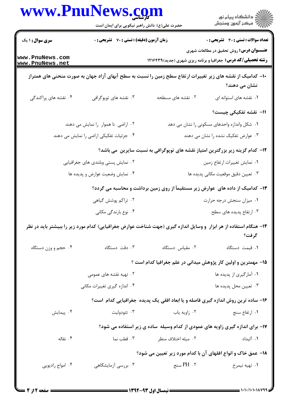| www.PnuNews.com                    |                                                  |                          |                                                                                                                              |  |
|------------------------------------|--------------------------------------------------|--------------------------|------------------------------------------------------------------------------------------------------------------------------|--|
|                                    | حضرت علی(ع): دانش راهبر نیکویی برای ایمان است    |                          | ڪ دانشڪاه پيام نور<br><mark>ر</mark> ⊽ مرڪز آزمون وسنڊش                                                                      |  |
| <b>سری سوال : ۱ یک</b>             | <b>زمان آزمون (دقیقه) : تستی : 70 گشریحی : 0</b> |                          | <b>تعداد سوالات : تستی : 30 - تشریحی : 0</b>                                                                                 |  |
| www.PnuNews.com<br>www.PnuNews.net |                                                  |                          | <b>عنـــوان درس:</b> روش تحقیق در مطالعات شهری<br><b>رشته تحصیلی/کد درس:</b> جغرافیا و برنامه ریزی شهری (جدید)1216399        |  |
|                                    |                                                  |                          | ∙ا− کدامیک از نقشه های زیر تغییرات ارتفاع سطح زمین را نسبت به سطح آبهای آزاد جهان به صورت منحنی های همتراز<br>نشان می دهند؟  |  |
| ۰۴ نقشه های پراکندگی               | ۰۳ نقشه های توپوگرافی                            | ۲. نقشه های مسطحه        | ۰۱ نقشه های استوانه ای                                                                                                       |  |
|                                    |                                                  |                          | 11- نقشه تفکیکی چیست؟                                                                                                        |  |
|                                    | ۰۲ اراضی نا هموار را نمایش می دهند               |                          | ۰۱ شکل واندازه واحدهای مسکونی را نشان می دهد                                                                                 |  |
|                                    | ۰۴ جزئیات تفکیکی اراضی را نمایش می دهند          |                          | ۰۳ عوارض تفکیک نشده را نشان می دهند                                                                                          |  |
|                                    |                                                  |                          | ۱۲– کدام گزینه زیر بزرگترین امتیاز نقشه های توپوگرافی به نسبت سایرین ًمی باشد؟                                               |  |
|                                    | ۰۲ نمایش پستی وبلندی های جغرافیایی               |                          | ۰۱ نمایش تغییرات ارتفاع زمین                                                                                                 |  |
|                                    | ۰۴ نمایش وضعیت عوارض و پدیده ها                  |                          | ۰۳ تعیین دقیق موقعیت مکانی پدیده ها                                                                                          |  |
|                                    |                                                  |                          | ۱۳- کدامیک از داده های عوارض زیر مستقیماً از روی زمین برداشت و محاسبه می گردد؟                                               |  |
|                                    | ۰۲ تراکم پوشش گیاهی                              | ۰۱ میزان سنجش درجه حرارت |                                                                                                                              |  |
|                                    | ۰۴ نوع بارندگی مکانی                             | ۰۳ ارتفاع پدیده های سطح  |                                                                                                                              |  |
|                                    |                                                  |                          | ۱۴– هنگام استفاده از هر ابزار ً و وسایل اندازه گیری (جهت شناخت عوارض جغرافیایی) کدام مورد زیر را ببیشتر باید در نظر<br>گرفت؟ |  |
| ۰۴ حجم و وزن دستگاه                | ۰۳ دقت دستگاه                                    | ۰۲ مقیاس دستگاه          | ٠١ قيمت دستگاه                                                                                                               |  |
|                                    |                                                  |                          | ۱۵– مهمترین و اولین کار پژوهش میدانی در علم جغرافیا کدام است ؟                                                               |  |
|                                    | ۰۲ تهیه نقشه های عمومی                           |                          | ۰۱ آمارگیری از پدیده ها                                                                                                      |  |
|                                    | ۰۴ اندازه گیری تغییرات مکانی                     |                          | ۰۳ تعیین محل پدیده ها                                                                                                        |  |
|                                    |                                                  |                          | ۱۶- ساده ترین روش اندازه گیری فاصله و یا ابعاد افقی یک پدیده جغرافیایی کدام است؟                                             |  |
| ۰۴ پیمایش                          | ۰۳ تئودوليت                                      | ۰۲ زاویه یاب             | ۰۱ ارتفاع سنج                                                                                                                |  |
|                                    |                                                  |                          | ۱۷- برای اندازه گیری زاویه های عمودی از کدام وسیله ًساده ی زیر استفاده می شود؟                                               |  |
| ۰۴ نقاله                           | ۰۳ قطب نما                                       | ۰۲ میله اختلاف منظر      | ۰۱ آلیداد                                                                                                                    |  |
|                                    |                                                  |                          | 1۸– عمق خاک و انواع افقهای آن با کدام مورد زیر تعیین می شود؟                                                                 |  |
| ۰۴ امواج راديويي                   | ۰۳ بررسی آزمایشگاهی                              | ۲ . PH سنج               | ۰۱ تهيه نيمرخ                                                                                                                |  |
|                                    |                                                  |                          |                                                                                                                              |  |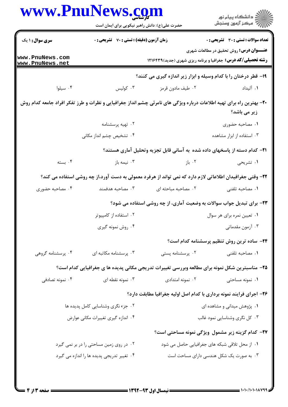| ڪ دانشڪاه پيام نور<br>ر∕ = مرڪز آزمون وسنڊش                                                                                          |                     | www.PnuNews.con<br>حضرت علی(ع): دانش راهبر نیکویی برای ایمان است |                                    |
|--------------------------------------------------------------------------------------------------------------------------------------|---------------------|------------------------------------------------------------------|------------------------------------|
| <b>تعداد سوالات : تستی : 30 ٪ تشریحی : 0</b>                                                                                         |                     | <b>زمان آزمون (دقیقه) : تستی : 70 قشریحی : 0</b>                 |                                    |
| <b>عنـــوان درس:</b> روش تحقیق در مطالعات شهری<br><b>رشته تحصیلی/کد درس:</b> جغرافیا و برنامه ریزی شهری (جدید) ۱۲۱۶۴۳۹               |                     |                                                                  | www.PnuNews.com<br>www.PnuNews.net |
| ۱۹- قطر درختان را با کدام وسیله و ابزار زیر اندازه گیری می کنند؟                                                                     |                     |                                                                  |                                    |
| ۰۱ آلیداد                                                                                                                            | ۰۲ طیف مادون قرمز   | $\cdot$ 7 كوليس                                                  | ۰۴ سیلوا                           |
| +۲- بهترین راه برای تهیه اطلاعات درباره ویژگی های نامرئی چشم انداز جغرافیایی و نظرات و طرز تفکر افراد جامعه کدام روش<br>زیر می باشد؟ |                     |                                                                  |                                    |
| ۰۱ مصاحبه حضوری                                                                                                                      |                     | ۰۲ تهیه پرسشنامه                                                 |                                    |
| ۰۳ استفاده از ابزار مشاهده                                                                                                           |                     | ۰۴ تشخیص چشم انداز مکانی                                         |                                    |
| <b>۲۱</b> – کدام دسته از پاسخهای داده شده به آسانی قابل تجزیه وتحلیل آماری هستند؟                                                    |                     |                                                                  |                                    |
| ۰۱ تشریحی                                                                                                                            | ۰۲ باز              | ۰۳ نیمه باز                                                      | ۰۴ بسته                            |
| ۲۲– وقتی جغرافیدان اطلاعاتی لازم دارد که نمی تواند از هرفرد معمولی به دست آورد،از چه روشی استفاده می کند؟                            |                     |                                                                  |                                    |
| ٠١. مصاحبه تلفني                                                                                                                     | ۰۲ مصاحبه مباحثه ای | ۰۳ مصاحبه هدفمند                                                 | ۰۴ مصاحبه حضوری                    |
| ۲۳- برای تبدیل جواب سوالات به وضعیت آماری، از چه روشی استفاده می شود؟                                                                |                     |                                                                  |                                    |
| ۰۱ تعیین نمره برای هر سوال                                                                                                           |                     | ۰۲ استفاده از کامپیوتر                                           |                                    |
| ۰۳ آزمون مقدماتی                                                                                                                     |                     | ۰۴ روش نمونه گیری                                                |                                    |
| ۲۴– ساده ترین روش تنظیم پرسشنامه کدام است؟                                                                                           |                     |                                                                  |                                    |
| ۰۱ مصاحبه تلفنی                                                                                                                      | ۰۲ پرسشنامه پستی    | ۰۳ پرسشنامه مکاتبه ای                                            | ۰۴ پرسشنامه گروهی                  |
| ۲۵- مناسبترین شکل نمونه برای مطالعه وبررسی تغییرات تدریجی مکانی پدیده ها ی جغرافیایی کدام است؟                                       |                     |                                                                  |                                    |
| ۰۱ نمونه مساحتی                                                                                                                      | ۰۲ نمونه امتدادی    | ۰۳ نمونه نقطه ای                                                 | ۰۴ نمونه تصادفي                    |
| ۲۶- اجرای فرایند نمونه برداری با کدام اصل اولیه جغرافیا مطابقت دارد؟                                                                 |                     |                                                                  |                                    |
| ۰۱ پژوهش میدانی و مشاهده ای                                                                                                          |                     | ۰۲ جزء نگری وشناسایی کامل پدیده ها                               |                                    |
| ۰۳ کل نگری وشناسایی نمود غالب                                                                                                        |                     | ۰۴ اندازه گیری تغییرات مکانی عوارض                               |                                    |
| <b>۲۷- کدام گزینه زیر مشمول ویژگی نمونه مساحتی است؟</b>                                                                              |                     |                                                                  |                                    |
| ۰۱ از محل تلاقی شبکه های جغرافیایی حاصل می شود                                                                                       |                     | ۰۲ در روی زمین مساحتی را در بر نمی گیرد                          |                                    |
| ۰۳ به صورت یک شکل هندسی دارای مساحت است                                                                                              |                     | ۰۴ تغییر تدریجی پدیده ها را اندازه می گیرد                       |                                    |

×